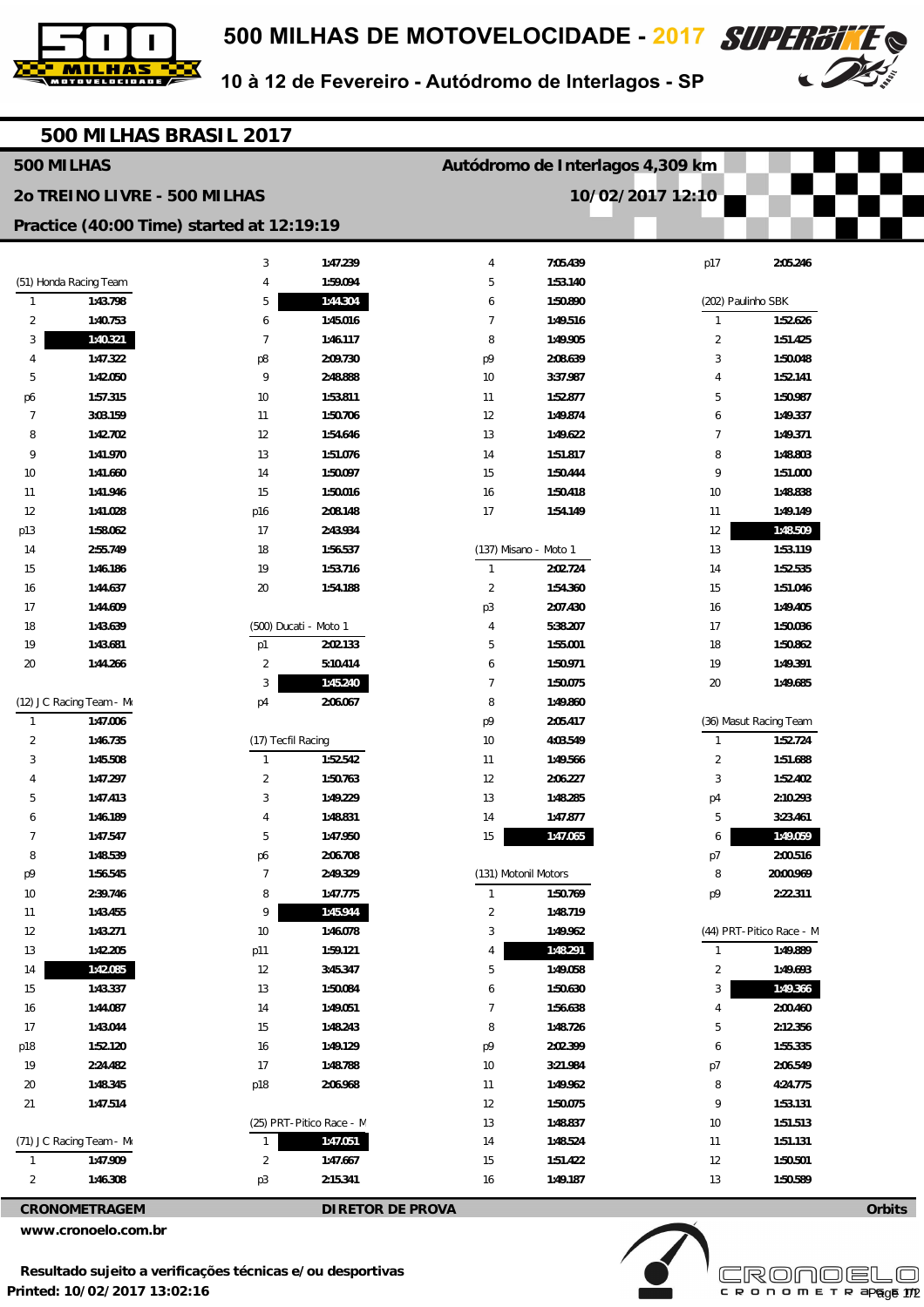



10 à 12 de Fevereiro - Autódromo de Interlagos - SP

| 500 MILHAS BRASIL 2017                          |                          |                          |          |                                  |                       |                    |                                    |  |  |  |  |  |
|-------------------------------------------------|--------------------------|--------------------------|----------|----------------------------------|-----------------------|--------------------|------------------------------------|--|--|--|--|--|
| 500 MILHAS                                      |                          |                          |          | Autódromo de Interlagos 4,309 km |                       |                    |                                    |  |  |  |  |  |
| 20 TREINO LIVRE - 500 MILHAS                    |                          |                          |          | 10/02/2017 12:10                 |                       |                    |                                    |  |  |  |  |  |
| Practice (40:00 Time) started at 12:19:19       |                          |                          |          |                                  |                       |                    |                                    |  |  |  |  |  |
|                                                 |                          | 3                        | 1:47.239 | 4                                | 7:05.439              | p17                | 2:05.246                           |  |  |  |  |  |
|                                                 | (51) Honda Racing Team   | 4                        | 1:59.094 | 5                                | 1:53.140              |                    |                                    |  |  |  |  |  |
| $\mathbf{1}$                                    | 1:43.798                 | 5                        | 1:44.304 | 6                                | 1:50.890              | (202) Paulinho SBK |                                    |  |  |  |  |  |
| $\overline{2}$                                  | 1:40.753                 | 6                        | 1:45.016 | $\overline{7}$                   | 1:49.516              | $\mathbf{1}$       | 1:52.626                           |  |  |  |  |  |
| 3                                               | 1:40.321                 | $\overline{7}$           | 1:46.117 | 8                                | 1:49.905              | $\overline{2}$     | 1:51.425                           |  |  |  |  |  |
| 4                                               | 1:47.322                 | p8                       | 2:09.730 | p9                               | 2:08.639              | 3                  | 1:50.048                           |  |  |  |  |  |
| 5                                               | 1:42.050                 | 9                        | 2:48.888 | $10$                             | 3:37.987              | 4                  | 1:52.141                           |  |  |  |  |  |
| p6                                              | 1:57.315                 | 10                       | 1:53.811 | 11                               | 1:52.877              | 5                  | 1:50.987                           |  |  |  |  |  |
| 7                                               | 3:03.159                 | 11                       | 1:50.706 | 12                               | 1:49.874              | 6                  | 1:49.337                           |  |  |  |  |  |
| 8                                               | 1:42.702                 | 12                       | 1:54.646 | 13                               | 1:49.622              | 7                  | 1:49.371                           |  |  |  |  |  |
| 9                                               | 1:41.970                 | 13                       | 1:51.076 | 14                               | 1:51.817              | 8                  | 1:48.803                           |  |  |  |  |  |
| 10                                              | 1:41.660                 | 14                       | 1:50.097 | 15                               | 1:50.444              | 9                  | 1:51.000                           |  |  |  |  |  |
| 11                                              | 1:41.946                 | 15                       | 1:50.016 | 16                               | 1:50.418              | 10                 | 1:48.838                           |  |  |  |  |  |
| 12                                              | 1:41.028                 | p16                      | 2:08.148 | 17                               | 1:54.149              | 11                 | 1:49.149                           |  |  |  |  |  |
| p13                                             | 1:58.062                 | 17                       | 2:43.934 |                                  |                       | 12                 | 1:48.509                           |  |  |  |  |  |
| 14                                              | 2:55.749                 | 18                       | 1:56.537 |                                  | (137) Misano - Moto 1 | 13                 | 1:53.119                           |  |  |  |  |  |
| 15                                              | 1:46.186                 | 19                       | 1:53.716 | $\mathbf{1}$                     | 2:02.724              | 14                 | 1:52.535                           |  |  |  |  |  |
| 16                                              | 1:44.637                 | 20                       | 1:54.188 | $\overline{2}$                   | 1:54.360              | 15                 | 1:51.046                           |  |  |  |  |  |
| 17                                              | 1:44.609                 |                          |          | p3                               | 2:07.430              | 16                 | 1:49.405                           |  |  |  |  |  |
| 18                                              | 1:43.639                 | (500) Ducati - Moto 1    |          | 4                                | 5:38.207              | 17                 | 1:50.036                           |  |  |  |  |  |
| 19                                              | 1:43.681                 | p1                       | 2:02.133 | 5                                | 1:55.001              | 18                 | 1:50.862                           |  |  |  |  |  |
| 20                                              | 1:44.266                 | 2                        | 5:10.414 | 6                                | 1:50.971              | 19                 | 1:49.391                           |  |  |  |  |  |
|                                                 |                          | 3                        | 1:45.240 | $\overline{7}$                   | 1:50.075              | 20                 | 1:49.685                           |  |  |  |  |  |
|                                                 | (12) JC Racing Team - Mo | p4                       | 2:06.067 | 8                                | 1:49.860              |                    |                                    |  |  |  |  |  |
| $\mathbf{1}$<br>$\overline{2}$                  | 1:47.006<br>1:46.735     | (17) Tecfil Racing       |          | p9<br>10                         | 2:05.417<br>4:03.549  | $\mathbf{1}$       | (36) Masut Racing Team<br>1:52.724 |  |  |  |  |  |
|                                                 | 1:45.508                 | $\mathbf{1}$             | 1:52.542 | 11                               | 1:49.566              | $\overline{2}$     | 1:51.688                           |  |  |  |  |  |
| 3                                               | 1:47.297                 | $\overline{2}$           | 1:50.763 | 12                               | 2:06.227              | 3                  | 1:52.402                           |  |  |  |  |  |
| 5                                               | 1:47.413                 | 3                        | 1:49.229 | 13                               | 1:48.285              | p4                 | 2:10.293                           |  |  |  |  |  |
| 6                                               | 1:46.189                 | 4                        | 1:48.831 | 14                               | 1:47.877              | 5                  | 3:23.461                           |  |  |  |  |  |
| $\overline{7}$                                  | 1:47.547                 | 5                        | 1:47.950 | 15                               | 1:47.065              | 6                  | 1:49.059                           |  |  |  |  |  |
| 8                                               | 1:48.539                 | p6                       | 2:06.708 |                                  |                       | p7                 | 2:00.516                           |  |  |  |  |  |
| p9                                              | 1:56.545                 | $\overline{7}$           | 2:49.329 |                                  | (131) Motonil Motors  | 8                  | 20:00.969                          |  |  |  |  |  |
| 10                                              | 2:39.746                 | 8                        | 1:47.775 | $\overline{1}$                   | 1:50.769              | p9                 | 2:22.311                           |  |  |  |  |  |
| 11                                              | 1:43.455                 | 9                        | 1:45.944 | $\overline{2}$                   | 1:48.719              |                    |                                    |  |  |  |  |  |
| 12                                              | 1:43.271                 | 10                       | 1:46.078 | 3                                | 1:49.962              |                    | (44) PRT-Pitico Race - M           |  |  |  |  |  |
| 13                                              | 1:42.205                 | p11                      | 1:59.121 | 4                                | 1:48.291              | $\mathbf{1}$       | 1:49.889                           |  |  |  |  |  |
| 14                                              | 1:42.085                 | 12                       | 3:45.347 | 5                                | 1:49.058              | 2                  | 1:49.693                           |  |  |  |  |  |
| 15                                              | 1:43.337                 | 13                       | 1:50.084 | 6                                | 1:50.630              | 3                  | 1:49.366                           |  |  |  |  |  |
| 16                                              | 1:44.087                 | 14                       | 1:49.051 | 7                                | 1:56.638              | 4                  | 2:00.460                           |  |  |  |  |  |
| 17                                              | 1:43.044                 | 15                       | 1:48.243 | 8                                | 1:48.726              | 5                  | 2:12.356                           |  |  |  |  |  |
| p18                                             | 1:52.120                 | 16                       | 1:49.129 | p9                               | 2:02.399              | 6                  | 1:55.335                           |  |  |  |  |  |
| 19                                              | 2:24.482                 | 17                       | 1:48.788 | 10                               | 3:21.984              | p7                 | 2:06.549                           |  |  |  |  |  |
| 20                                              | 1:48.345                 | p18                      | 2:06.968 | 11                               | 1:49.962              | 8                  | 4:24.775                           |  |  |  |  |  |
| 21                                              | 1:47.514                 |                          |          | 12                               | 1:50.075              | 9                  | 1:53.131                           |  |  |  |  |  |
|                                                 |                          | (25) PRT-Pitico Race - M |          | 13                               | 1:48.837              | $10$               | 1:51.513                           |  |  |  |  |  |
|                                                 | (71) JC Racing Team - Mo | 1                        | 1:47.051 | 14                               | 1:48.524              | 11                 | 1:51.131                           |  |  |  |  |  |
| $\mathbf{1}$                                    | 1:47.909                 | $\overline{2}$           | 1:47.667 | 15                               | 1:51.422              | 12                 | 1:50.501                           |  |  |  |  |  |
| 2                                               | 1:46.308                 | p <sub>3</sub>           | 2:15.341 | 16                               | 1:49.187              | 13                 | 1:50.589                           |  |  |  |  |  |
| <b>CRONOMETRAGEM</b><br><b>DIRETOR DE PROVA</b> |                          |                          |          |                                  |                       |                    | Orbits                             |  |  |  |  |  |

**www.cronoelo.com.br** 



**Licensed to: Cronoelo** 

CRONOMETRAP<sub>age</sub> 172